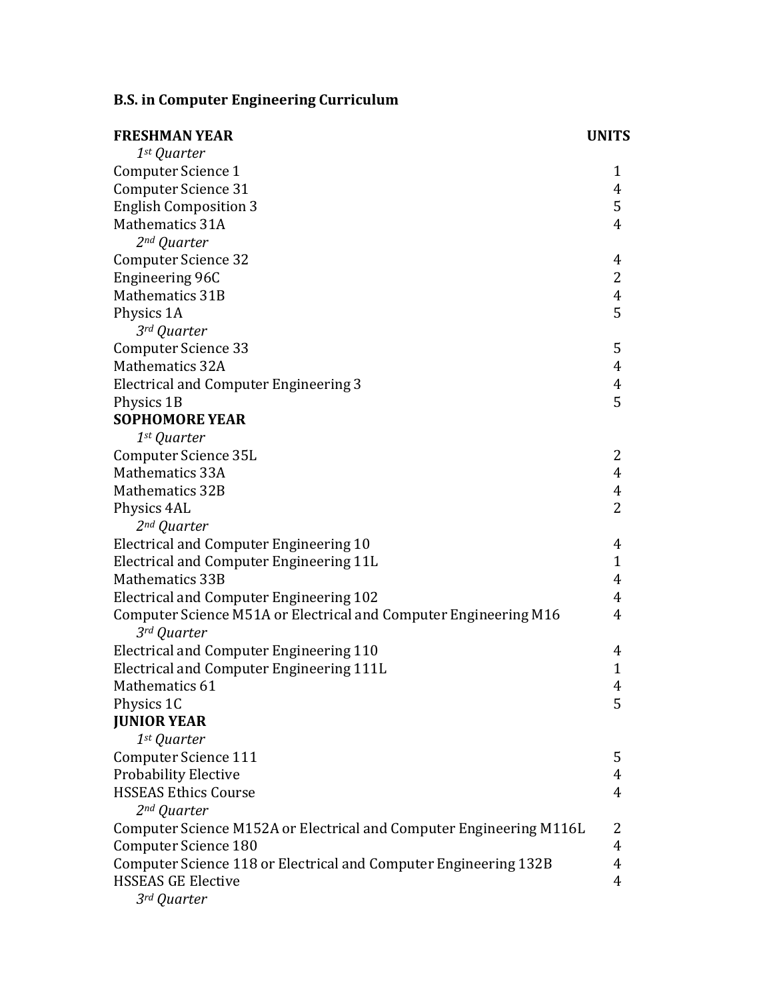## **B.S. in Computer Engineering Curriculum**

| <b>FRESHMAN YEAR</b>                                                | <b>UNITS</b>   |
|---------------------------------------------------------------------|----------------|
| 1st Quarter                                                         |                |
| Computer Science 1                                                  | $\mathbf{1}$   |
| <b>Computer Science 31</b>                                          | 4              |
| <b>English Composition 3</b>                                        | 5              |
| <b>Mathematics 31A</b>                                              | $\overline{4}$ |
| 2 <sup>nd</sup> Quarter                                             |                |
| <b>Computer Science 32</b>                                          | 4              |
| Engineering 96C                                                     | $\overline{2}$ |
| Mathematics 31B                                                     | $\overline{4}$ |
| Physics 1A                                                          | 5              |
| 3rd Quarter                                                         |                |
| <b>Computer Science 33</b>                                          | 5              |
| <b>Mathematics 32A</b>                                              | $\overline{4}$ |
| <b>Electrical and Computer Engineering 3</b>                        | 4              |
| Physics 1B                                                          | 5              |
| <b>SOPHOMORE YEAR</b>                                               |                |
| 1st Quarter                                                         |                |
| Computer Science 35L                                                | 2              |
| Mathematics 33A                                                     | $\overline{4}$ |
| <b>Mathematics 32B</b>                                              | 4              |
| Physics 4AL                                                         | $\overline{2}$ |
| 2 <sup>nd</sup> Quarter                                             |                |
| Electrical and Computer Engineering 10                              | 4              |
| Electrical and Computer Engineering 11L                             | $\mathbf{1}$   |
| <b>Mathematics 33B</b>                                              | 4              |
| <b>Electrical and Computer Engineering 102</b>                      | $\overline{4}$ |
| Computer Science M51A or Electrical and Computer Engineering M16    | 4              |
| 3rd Quarter                                                         |                |
| Electrical and Computer Engineering 110                             | 4              |
| Electrical and Computer Engineering 111L                            | $\mathbf{1}$   |
| Mathematics 61                                                      | 4              |
| Physics 1C                                                          | 5              |
| <b>JUNIOR YEAR</b>                                                  |                |
| 1st Quarter                                                         |                |
| <b>Computer Science 111</b>                                         | 5              |
| <b>Probability Elective</b>                                         | 4              |
| <b>HSSEAS Ethics Course</b>                                         | 4              |
| 2 <sup>nd</sup> Quarter                                             |                |
| Computer Science M152A or Electrical and Computer Engineering M116L | 2              |
| <b>Computer Science 180</b>                                         | 4              |
| Computer Science 118 or Electrical and Computer Engineering 132B    | 4              |
| <b>HSSEAS GE Elective</b>                                           | 4              |
| 3rd Quarter                                                         |                |